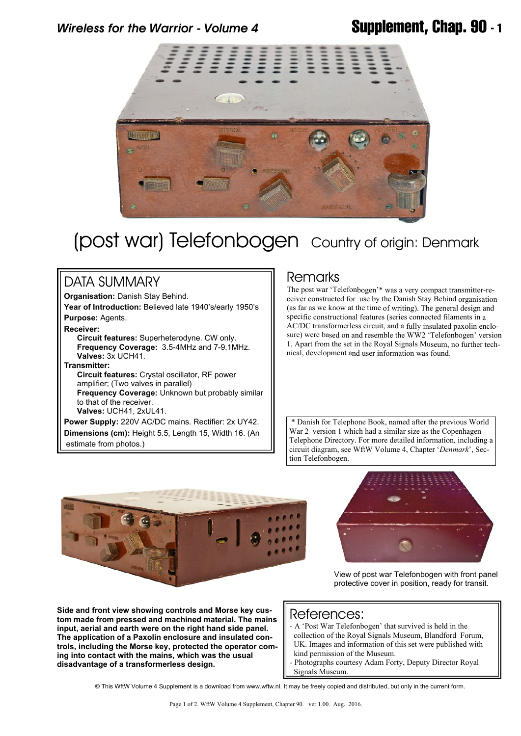## *Wireless for the Warrior - Volume 4* **Supplement, Chap. 90 - 1**



# (post war) Telefonbogen Country of origin: Denmark

### DATA SUMMARY

**Organisation:** Danish Stay Behind.

**Year of Introduction:** Believed late 1940's/early 1950's **Purpose:** Agents.

**Receiver:**

 **Circuit features:** Superheterodyne. CW only.  **Frequency Coverage:** 3.5-4MHz and 7-9.1MHz. **Valves:** 3x UCH41.

### **Transmitter:**

 **Circuit features:** Crystal oscillator, RF power amplifier; (Two valves in parallel)

 **Frequency Coverage:** Unknown but probably similar to that of the receiver.

 **Valves:** UCH41, 2xUL41.

**Power Supply:** 220V AC/DC mains. Rectifier: 2x UY42. **Dimensions (cm):** Height 5.5, Length 15, Width 16. (An estimate from photos.)

### Remarks

The post war 'Telefonbogen'\* was a very compact transmitter-receiver constructed for use by the Danish Stay Behind organisation (as far as we know at the time of writing). The general design and specific constructional features (series connected filaments in a AC/DC transformerless circuit, and a fully insulated paxolin enclosure) were based on and resemble the WW2 'Telefonbogen' version 1. Apart from the set in the Royal Signals Museum, no further technical, development and user information was found.

 \* Danish for Telephone Book, named after the previous World War 2 version 1 which had a similar size as the Copenhagen Telephone Directory. For more detailed information, including a circuit diagram, see WftW Volume 4, Chapter '*Denmark*', Section Telefonbogen.



**Side and front view showing controls and Morse key custom made from pressed and machined material. The mains input, aerial and earth were on the right hand side panel. The application of a Paxolin enclosure and insulated controls, including the Morse key, protected the operator coming into contact with the mains, which was the usual disadvantage of a transformerless design.**



View of post war Telefonbogen with front panel protective cover in position, ready for transit.

### References:

- A 'Post War Telefonbogen' that survived is held in the collection of the Royal Signals Museum, Blandford Forum, UK. Images and information of this set were published with kind permission of the Museum.
- Photographs courtesy Adam Forty, Deputy Director Royal Signals Museum.

© This WftW Volume 4 Supplement is a download from www.wftw.nl. It may be freely copied and distributed, but only in the current form.